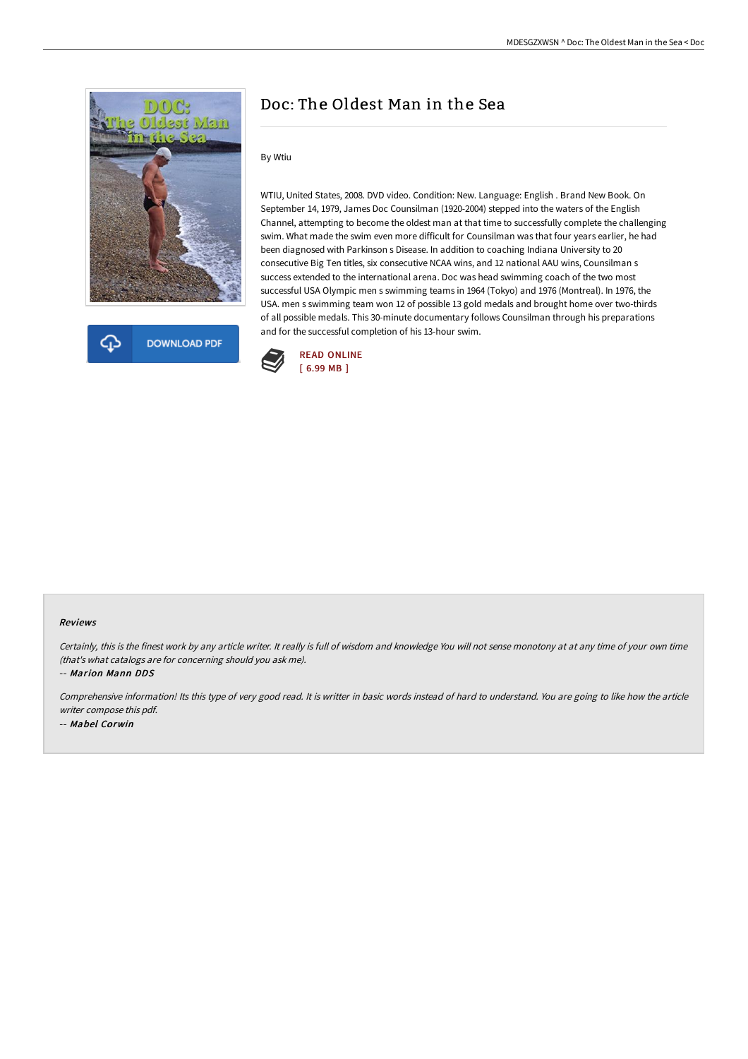



# Doc: The Oldest Man in the Sea

## By Wtiu

WTIU, United States, 2008. DVD video. Condition: New. Language: English . Brand New Book. On September 14, 1979, James Doc Counsilman (1920-2004) stepped into the waters of the English Channel, attempting to become the oldest man at that time to successfully complete the challenging swim. What made the swim even more difficult for Counsilman was that four years earlier, he had been diagnosed with Parkinson s Disease. In addition to coaching Indiana University to 20 consecutive Big Ten titles, six consecutive NCAA wins, and 12 national AAU wins, Counsilman s success extended to the international arena. Doc was head swimming coach of the two most successful USA Olympic men s swimming teams in 1964 (Tokyo) and 1976 (Montreal). In 1976, the USA. men s swimming team won 12 of possible 13 gold medals and brought home over two-thirds of all possible medals. This 30-minute documentary follows Counsilman through his preparations and for the successful completion of his 13-hour swim.



#### Reviews

Certainly, this is the finest work by any article writer. It really is full of wisdom and knowledge You will not sense monotony at at any time of your own time (that's what catalogs are for concerning should you ask me).

-- Marion Mann DDS

Comprehensive information! Its this type of very good read. It is writter in basic words instead of hard to understand. You are going to like how the article writer compose this pdf. -- Mabel Corwin